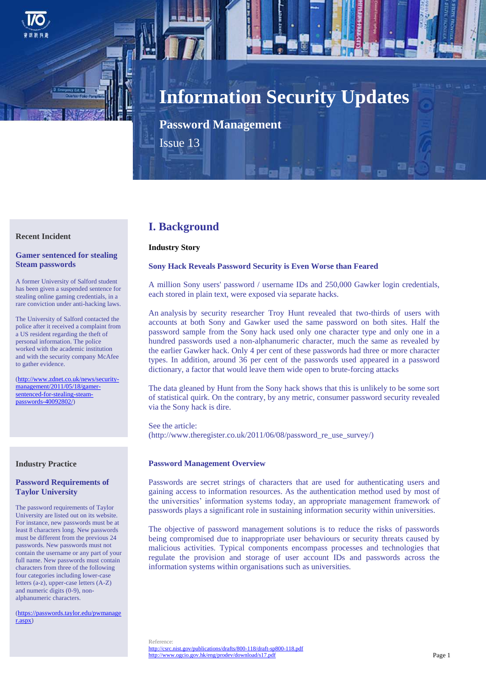

# **Information Security Updates**

**Password Management**

Issue 13

## **Recent Incident**

## **Gamer sentenced for stealing Steam passwords**

A former University of Salford student has been given a suspended sentence for stealing online gaming credentials, in a rare conviction under anti-hacking laws.

The University of Salford contacted the police after it received a complaint from a US resident regarding the theft of personal information. The police worked with the academic institution and with the security company McAfee to gather evidence.

[\(http://www.zdnet.co.uk/news/security](http://www.zdnet.co.uk/news/security-management/2011/05/18/gamer-sentenced-for-stealing-steam-passwords-40092802/)[management/2011/05/18/gamer](http://www.zdnet.co.uk/news/security-management/2011/05/18/gamer-sentenced-for-stealing-steam-passwords-40092802/)[sentenced-for-stealing-steam](http://www.zdnet.co.uk/news/security-management/2011/05/18/gamer-sentenced-for-stealing-steam-passwords-40092802/)[passwords-40092802/\)](http://www.zdnet.co.uk/news/security-management/2011/05/18/gamer-sentenced-for-stealing-steam-passwords-40092802/)

#### **Industry Practice**

#### **Password Requirements of Taylor University**

The password requirements of Taylor University are listed out on its website. For instance, new passwords must be at least 8 characters long. New passwords must be different from the previous 24 passwords. New passwords must not contain the username or any part of your full name. New passwords must contain characters from three of the following four categories including lower-case letters (a-z), upper-case letters (A-Z) and numeric digits (0-9), nonalphanumeric characters.

[\(https://passwords.taylor.edu/pwmanage](https://passwords.taylor.edu/pwmanager.aspx) [r.aspx\)](https://passwords.taylor.edu/pwmanager.aspx)

# **I. Background**

#### **Industry Story**

#### **Sony Hack Reveals Password Security is Even Worse than Feared**

A million Sony users' password / username IDs and 250,000 Gawker login credentials, each stored in plain text, were exposed via separate hacks.

An analysis by security researcher Troy Hunt revealed that two-thirds of users with accounts at both Sony and Gawker used the same password on both sites. Half the password sample from the Sony hack used only one character type and only one in a hundred passwords used a non-alphanumeric character, much the same as revealed by the earlier Gawker hack. Only 4 per cent of these passwords had three or more character types. In addition, around 36 per cent of the passwords used appeared in a password dictionary, a factor that would leave them wide open to brute-forcing attacks

The data gleaned by Hunt from the Sony hack shows that this is unlikely to be some sort of statistical quirk. On the contrary, by any metric, consumer password security revealed via the Sony hack is dire.

See the article:  $(http://www.theregister.co.uk/2011/06/08/password$  re use survey/)

#### **Password Management Overview**

Passwords are secret strings of characters that are used for authenticating users and gaining access to information resources. As the authentication method used by most of the universities' information systems today, an appropriate management framework of passwords plays a significant role in sustaining information security within universities.

The objective of password management solutions is to reduce the risks of passwords being compromised due to inappropriate user behaviours or security threats caused by malicious activities. Typical components encompass processes and technologies that regulate the provision and storage of user account IDs and passwords across the information systems within organisations such as universities.

Reference: <http://csrc.nist.gov/publications/drafts/800-118/draft-sp800-118.pdf> <http://www.ogcio.gov.hk/eng/prodev/download/s17.pdf>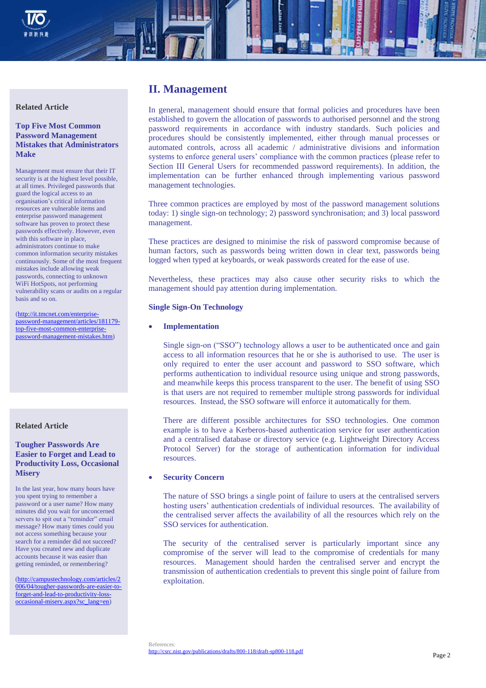

#### **Related Article**

## **Top Five Most Common Password Management Mistakes that Administrators Make**

Management must ensure that their IT security is at the highest level possible, at all times. Privileged passwords that guard the logical access to an organisation's critical information resources are vulnerable items and enterprise password management software has proven to protect these passwords effectively. However, even with this software in place, administrators continue to make common information security mistakes continuously. Some of the most frequent mistakes include allowing weak passwords, connecting to unknown WiFi HotSpots, not performing vulnerability scans or audits on a regular basis and so on.

[\(http://it.tmcnet.com/enterprise](http://it.tmcnet.com/enterprise-password-management/articles/181179-top-five-most-common-enterprise-password-management-mistakes.htm)[password-management/articles/181179](http://it.tmcnet.com/enterprise-password-management/articles/181179-top-five-most-common-enterprise-password-management-mistakes.htm) [top-five-most-common-enterprise](http://it.tmcnet.com/enterprise-password-management/articles/181179-top-five-most-common-enterprise-password-management-mistakes.htm)[password-management-mistakes.htm\)](http://it.tmcnet.com/enterprise-password-management/articles/181179-top-five-most-common-enterprise-password-management-mistakes.htm)

#### **Related Article**

#### **Tougher Passwords Are Easier to Forget and Lead to Productivity Loss, Occasional Misery**

In the last year, how many hours have you spent trying to remember a password or a user name? How many minutes did you wait for unconcerned servers to spit out a "reminder" email message? How many times could you not access something because your search for a reminder did not succeed? Have you created new and duplicate accounts because it was easier than getting reminded, or remembering?

[\(http://campustechnology.com/articles/2](http://campustechnology.com/articles/2006/04/tougher-passwords-are-easier-to-forget-and-lead-to-productivity-loss-occasional-misery.aspx?sc_lang=en) [006/04/tougher-passwords-are-easier-to](http://campustechnology.com/articles/2006/04/tougher-passwords-are-easier-to-forget-and-lead-to-productivity-loss-occasional-misery.aspx?sc_lang=en)[forget-and-lead-to-productivity-loss](http://campustechnology.com/articles/2006/04/tougher-passwords-are-easier-to-forget-and-lead-to-productivity-loss-occasional-misery.aspx?sc_lang=en)[occasional-misery.aspx?sc\\_lang=en\)](http://campustechnology.com/articles/2006/04/tougher-passwords-are-easier-to-forget-and-lead-to-productivity-loss-occasional-misery.aspx?sc_lang=en)

# **II. Management**

In general, management should ensure that formal policies and procedures have been established to govern the allocation of passwords to authorised personnel and the strong password requirements in accordance with industry standards. Such policies and procedures should be consistently implemented, either through manual processes or automated controls, across all academic / administrative divisions and information systems to enforce general users' compliance with the common practices (please refer to Section III General Users for recommended password requirements). In addition, the implementation can be further enhanced through implementing various password management technologies.

Three common practices are employed by most of the password management solutions today: 1) single sign-on technology; 2) password synchronisation; and 3) local password management.

These practices are designed to minimise the risk of password compromise because of human factors, such as passwords being written down in clear text, passwords being logged when typed at keyboards, or weak passwords created for the ease of use.

Nevertheless, these practices may also cause other security risks to which the management should pay attention during implementation.

#### **Single Sign-On Technology**

#### **Implementation**

Single sign-on ("SSO") technology allows a user to be authenticated once and gain access to all information resources that he or she is authorised to use. The user is only required to enter the user account and password to SSO software, which performs authentication to individual resource using unique and strong passwords, and meanwhile keeps this process transparent to the user. The benefit of using SSO is that users are not required to remember multiple strong passwords for individual resources. Instead, the SSO software will enforce it automatically for them.

There are different possible architectures for SSO technologies. One common example is to have a Kerberos-based authentication service for user authentication and a centralised database or directory service (e.g. Lightweight Directory Access Protocol Server) for the storage of authentication information for individual resources.

#### **Security Concern**

The nature of SSO brings a single point of failure to users at the centralised servers hosting users' authentication credentials of individual resources. The availability of the centralised server affects the availability of all the resources which rely on the SSO services for authentication.

The security of the centralised server is particularly important since any compromise of the server will lead to the compromise of credentials for many resources. Management should harden the centralised server and encrypt the transmission of authentication credentials to prevent this single point of failure from exploitation.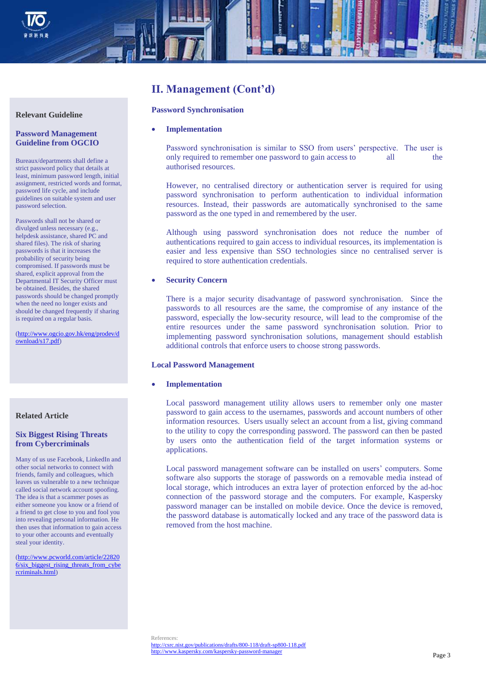

# **II. Management (Cont'd)**

#### **Password Synchronisation**

#### **Implementation**

Password synchronisation is similar to SSO from users' perspective. The user is only required to remember one password to gain access to all the authorised resources.

However, no centralised directory or authentication server is required for using password synchronisation to perform authentication to individual information resources. Instead, their passwords are automatically synchronised to the same password as the one typed in and remembered by the user.

Although using password synchronisation does not reduce the number of authentications required to gain access to individual resources, its implementation is easier and less expensive than SSO technologies since no centralised server is required to store authentication credentials.

#### **Security Concern**

There is a major security disadvantage of password synchronisation. Since the passwords to all resources are the same, the compromise of any instance of the password, especially the low-security resource, will lead to the compromise of the entire resources under the same password synchronisation solution. Prior to implementing password synchronisation solutions, management should establish additional controls that enforce users to choose strong passwords.

#### **Local Password Management**

**Implementation**

Local password management utility allows users to remember only one master password to gain access to the usernames, passwords and account numbers of other information resources. Users usually select an account from a list, giving command to the utility to copy the corresponding password. The password can then be pasted by users onto the authentication field of the target information systems or applications.

Local password management software can be installed on users' computers. Some software also supports the storage of passwords on a removable media instead of local storage, which introduces an extra layer of protection enforced by the ad-hoc connection of the password storage and the computers. For example, Kaspersky password manager can be installed on mobile device. Once the device is removed, the password database is automatically locked and any trace of the password data is removed from the host machine.

#### **Password Management Guideline from OGCIO**

Bureaux/departments shall define a strict password policy that details at least, minimum password length, initial assignment, restricted words and format, password life cycle, and include guidelines on suitable system and user password selection.

Passwords shall not be shared or divulged unless necessary (e.g., helpdesk assistance, shared PC and shared files). The risk of sharing passwords is that it increases the probability of security being compromised. If passwords must be shared, explicit approval from the Departmental IT Security Officer must be obtained. Besides, the shared passwords should be changed promptly when the need no longer exists and should be changed frequently if sharing is required on a regular basis.

[\(http://www.ogcio.gov.hk/eng/prodev/d](http://www.ogcio.gov.hk/eng/prodev/download/s17.pdf) [ownload/s17.pdf\)](http://www.ogcio.gov.hk/eng/prodev/download/s17.pdf)

#### **Related Article**

# **Six Biggest Rising Threats from Cybercriminals**

Many of us use Facebook, LinkedIn and other social networks to connect with friends, family and colleagues, which leaves us vulnerable to a new technique called social network account spoofing. The idea is that a scammer poses as either someone you know or a friend of a friend to get close to you and fool you into revealing personal information. He then uses that information to gain access to your other accounts and eventually steal your identity.

[\(http://www.pcworld.com/article/22820](http://www.pcworld.com/article/228206/six_biggest_rising_threats_from_cybercriminals.html)  $6/\text{s}$ ix biggest rising threats from cybe [rcriminals.html\)](http://www.pcworld.com/article/228206/six_biggest_rising_threats_from_cybercriminals.html)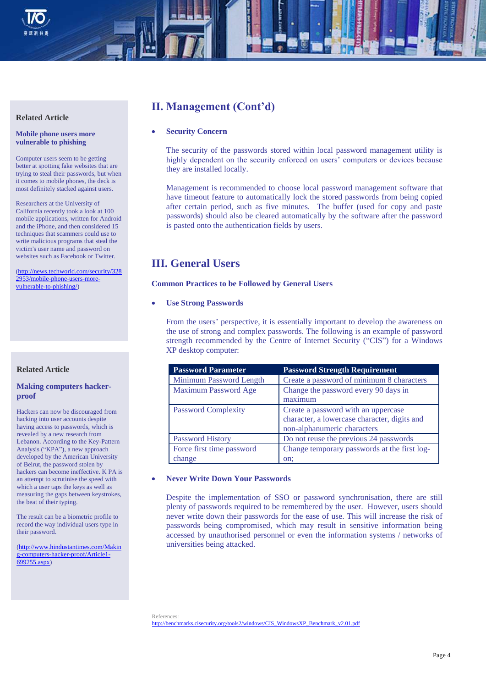

#### **Related Article**

#### **Mobile phone users more vulnerable to phishing**

Computer users seem to be getting better at spotting fake websites that are trying to steal their passwords, but when it comes to mobile phones, the deck is most definitely stacked against users.

Researchers at the University of California recently took a look at 100 mobile applications, written for Android and the iPhone, and then considered 15 techniques that scammers could use to write malicious programs that steal the victim's user name and password on websites such as Facebook or Twitter.

[\(http://news.techworld.com/security/328](http://news.techworld.com/security/3282953/mobile-phone-users-more-vulnerable-to-phishing/) [2953/mobile-phone-users-more](http://news.techworld.com/security/3282953/mobile-phone-users-more-vulnerable-to-phishing/)[vulnerable-to-phishing/\)](http://news.techworld.com/security/3282953/mobile-phone-users-more-vulnerable-to-phishing/)

# **Related Article**

## **Making computers hackerproof**

Hackers can now be discouraged from hacking into user accounts despite having access to passwords, which is revealed by a new research from Lebanon. According to the Key-Pattern Analysis ("KPA"), a new approach developed by the American University of Beirut, the password stolen by hackers can become ineffective. K PA is an attempt to scrutinise the speed with which a user taps the keys as well as measuring the gaps between keystrokes, the beat of their typing.

The result can be a biometric profile to record the way individual users type in their password.

[\(http://www.hindustantimes.com/Makin](http://www.hindustantimes.com/Making-computers-hacker-proof/Article1-699255.aspx) [g-computers-hacker-proof/Article1-](http://www.hindustantimes.com/Making-computers-hacker-proof/Article1-699255.aspx) [699255.aspx\)](http://www.hindustantimes.com/Making-computers-hacker-proof/Article1-699255.aspx)

# **II. Management (Cont'd)**

# **Security Concern**

The security of the passwords stored within local password management utility is highly dependent on the security enforced on users' computers or devices because they are installed locally.

Management is recommended to choose local password management software that have timeout feature to automatically lock the stored passwords from being copied after certain period, such as five minutes. The buffer (used for copy and paste passwords) should also be cleared automatically by the software after the password is pasted onto the authentication fields by users.

# **III. General Users**

## **Common Practices to be Followed by General Users**

**Use Strong Passwords**

From the users' perspective, it is essentially important to develop the awareness on the use of strong and complex passwords. The following is an example of password strength recommended by the Centre of Internet Security ("CIS") for a Windows XP desktop computer:

| <b>Password Parameter</b>   | <b>Password Strength Requirement</b>         |
|-----------------------------|----------------------------------------------|
| Minimum Password Length     | Create a password of minimum 8 characters    |
| <b>Maximum Password Age</b> | Change the password every 90 days in         |
|                             | maximum                                      |
| <b>Password Complexity</b>  | Create a password with an uppercase          |
|                             | character, a lowercase character, digits and |
|                             | non-alphanumeric characters                  |
| <b>Password History</b>     | Do not reuse the previous 24 passwords       |
| Force first time password   | Change temporary passwords at the first log- |
| change                      | on:                                          |

# **Never Write Down Your Passwords**

Despite the implementation of SSO or password synchronisation, there are still plenty of passwords required to be remembered by the user. However, users should never write down their passwords for the ease of use. This will increase the risk of passwords being compromised, which may result in sensitive information being accessed by unauthorised personnel or even the information systems / networks of universities being attacked.

References: [http://benchmarks.cisecurity.org/tools2/windows/CIS\\_WindowsXP\\_Benchmark\\_v2.01.pdf](http://benchmarks.cisecurity.org/tools2/windows/CIS_WindowsXP_Benchmark_v2.01.pdf)